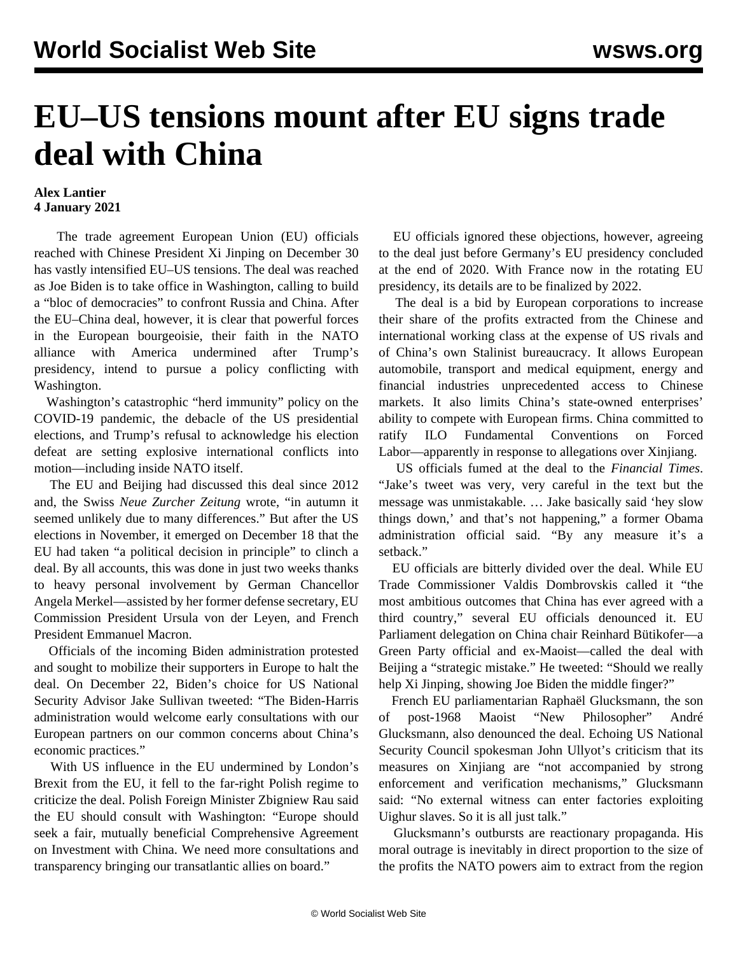## **EU–US tensions mount after EU signs trade deal with China**

## **Alex Lantier 4 January 2021**

 The trade agreement European Union (EU) officials reached with Chinese President Xi Jinping on December 30 has vastly intensified EU–US tensions. The deal was reached as Joe Biden is to take office in Washington, calling to build a "bloc of democracies" to confront Russia and China. After the EU–China deal, however, it is clear that powerful forces in the European bourgeoisie, their faith in the NATO alliance with America undermined after Trump's presidency, intend to pursue a policy conflicting with Washington.

 Washington's catastrophic "herd immunity" policy on the COVID-19 pandemic, the debacle of the US presidential elections, and Trump's refusal to acknowledge his election defeat are setting explosive international conflicts into motion—including inside NATO itself.

 The EU and Beijing had discussed this deal since 2012 and, the Swiss *Neue Zurcher Zeitung* wrote, "in autumn it seemed unlikely due to many differences." But after the US elections in November, it emerged on December 18 that the EU had taken "a political decision in principle" to clinch a deal. By all accounts, this was done in just two weeks thanks to heavy personal involvement by German Chancellor Angela Merkel—assisted by her former defense secretary, EU Commission President Ursula von der Leyen, and French President Emmanuel Macron.

 Officials of the incoming Biden administration protested and sought to mobilize their supporters in Europe to halt the deal. On December 22, Biden's choice for US National Security Advisor Jake Sullivan tweeted: "The Biden-Harris administration would welcome early consultations with our European partners on our common concerns about China's economic practices."

 With US influence in the EU undermined by London's Brexit from the EU, it fell to the far-right Polish regime to criticize the deal. Polish Foreign Minister Zbigniew Rau said the EU should consult with Washington: "Europe should seek a fair, mutually beneficial Comprehensive Agreement on Investment with China. We need more consultations and transparency bringing our transatlantic allies on board."

 EU officials ignored these objections, however, agreeing to the deal just before Germany's EU presidency concluded at the end of 2020. With France now in the rotating EU presidency, its details are to be finalized by 2022.

 The deal is a bid by European corporations to increase their share of the profits extracted from the Chinese and international working class at the expense of US rivals and of China's own Stalinist bureaucracy. It allows European automobile, transport and medical equipment, energy and financial industries unprecedented access to Chinese markets. It also limits China's state-owned enterprises' ability to compete with European firms. China committed to ratify ILO Fundamental Conventions on Forced Labor—apparently in response to allegations over Xinjiang.

 US officials fumed at the deal to the *Financial Times*. "Jake's tweet was very, very careful in the text but the message was unmistakable. … Jake basically said 'hey slow things down,' and that's not happening," a former Obama administration official said. "By any measure it's a setback."

 EU officials are bitterly divided over the deal. While EU Trade Commissioner Valdis Dombrovskis called it "the most ambitious outcomes that China has ever agreed with a third country," several EU officials denounced it. EU Parliament delegation on China chair Reinhard Bütikofer—a Green Party official and ex-Maoist—called the deal with Beijing a "strategic mistake." He tweeted: "Should we really help Xi Jinping, showing Joe Biden the middle finger?"

 French EU parliamentarian Raphaël Glucksmann, the son of post-1968 Maoist "New Philosopher" André Glucksmann, also denounced the deal. Echoing US National Security Council spokesman John Ullyot's criticism that its measures on Xinjiang are "not accompanied by strong enforcement and verification mechanisms," Glucksmann said: "No external witness can enter factories exploiting Uighur slaves. So it is all just talk."

 Glucksmann's outbursts are reactionary propaganda. His moral outrage is inevitably in direct proportion to the size of the profits the NATO powers aim to extract from the region